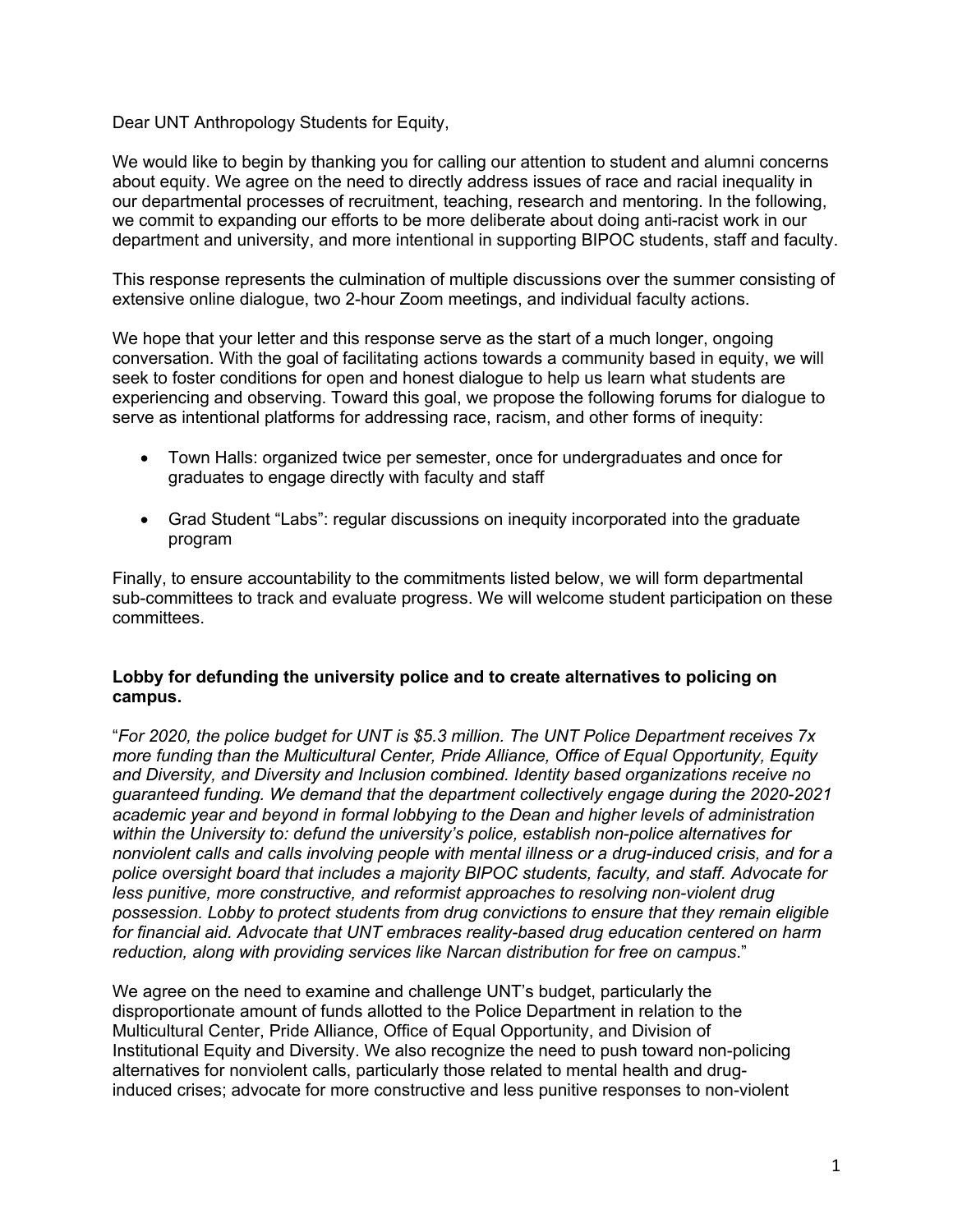Dear UNT Anthropology Students for Equity,

We would like to begin by thanking you for calling our attention to student and alumni concerns about equity. We agree on the need to directly address issues of race and racial inequality in our departmental processes of recruitment, teaching, research and mentoring. In the following, we commit to expanding our efforts to be more deliberate about doing anti-racist work in our department and university, and more intentional in supporting BIPOC students, staff and faculty.

This response represents the culmination of multiple discussions over the summer consisting of extensive online dialogue, two 2-hour Zoom meetings, and individual faculty actions.

We hope that your letter and this response serve as the start of a much longer, ongoing conversation. With the goal of facilitating actions towards a community based in equity, we will seek to foster conditions for open and honest dialogue to help us learn what students are experiencing and observing. Toward this goal, we propose the following forums for dialogue to serve as intentional platforms for addressing race, racism, and other forms of inequity:

- Town Halls: organized twice per semester, once for undergraduates and once for graduates to engage directly with faculty and staff
- Grad Student "Labs": regular discussions on inequity incorporated into the graduate program

Finally, to ensure accountability to the commitments listed below, we will form departmental sub-committees to track and evaluate progress. We will welcome student participation on these committees.

## **Lobby for defunding the university police and to create alternatives to policing on campus.**

"*For 2020, the police budget for UNT is \$5.3 million. The UNT Police Department receives 7x more funding than the Multicultural Center, Pride Alliance, Office of Equal Opportunity, Equity and Diversity, and Diversity and Inclusion combined. Identity based organizations receive no guaranteed funding. We demand that the department collectively engage during the 2020-2021 academic year and beyond in formal lobbying to the Dean and higher levels of administration within the University to: defund the university's police, establish non-police alternatives for nonviolent calls and calls involving people with mental illness or a drug-induced crisis, and for a police oversight board that includes a majority BIPOC students, faculty, and staff. Advocate for less punitive, more constructive, and reformist approaches to resolving non-violent drug possession. Lobby to protect students from drug convictions to ensure that they remain eligible for financial aid. Advocate that UNT embraces reality-based drug education centered on harm reduction, along with providing services like Narcan distribution for free on campus*."

We agree on the need to examine and challenge UNT's budget, particularly the disproportionate amount of funds allotted to the Police Department in relation to the Multicultural Center, Pride Alliance, Office of Equal Opportunity, and Division of Institutional Equity and Diversity. We also recognize the need to push toward non-policing alternatives for nonviolent calls, particularly those related to mental health and druginduced crises; advocate for more constructive and less punitive responses to non-violent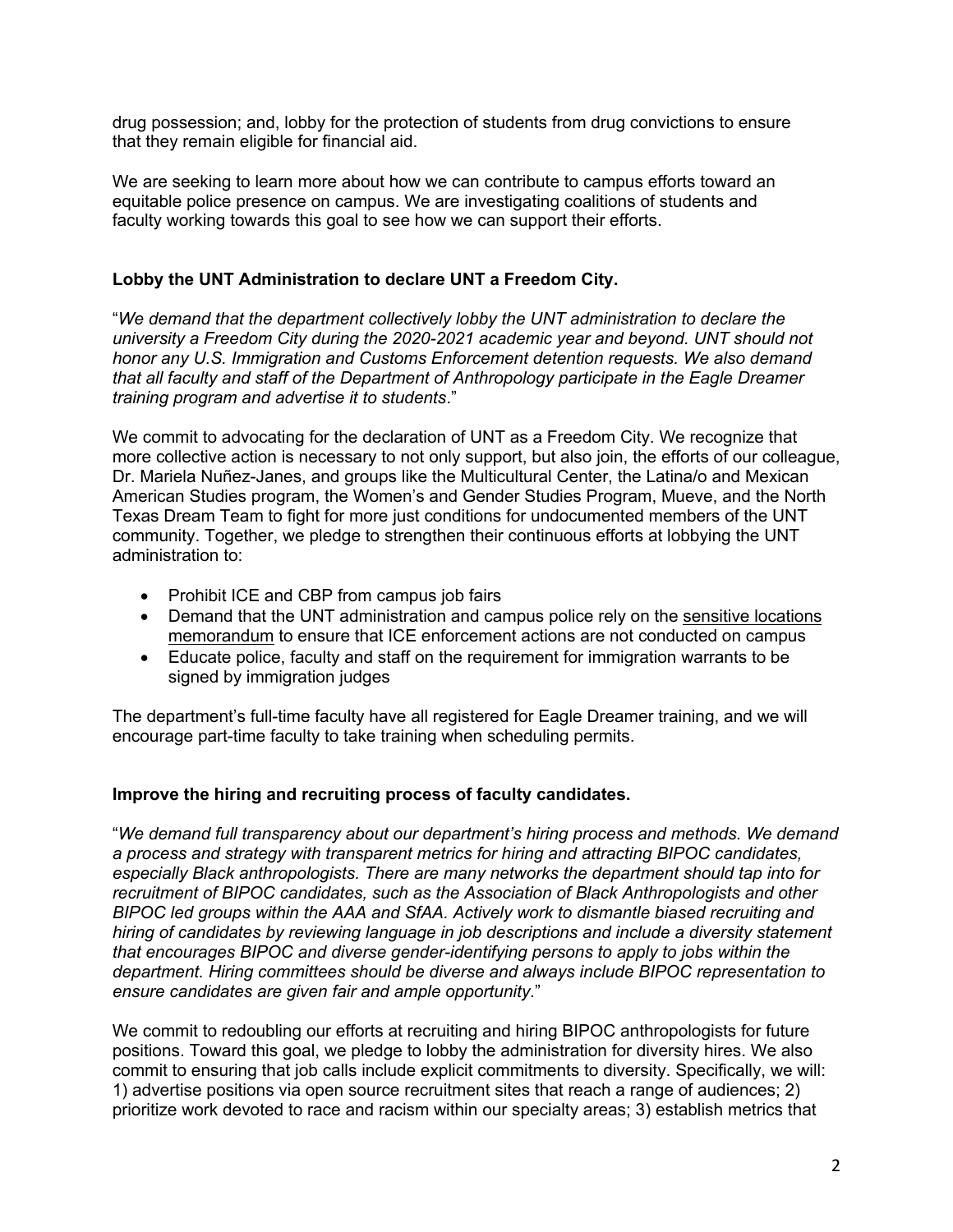drug possession; and, lobby for the protection of students from drug convictions to ensure that they remain eligible for financial aid.

We are seeking to learn more about how we can contribute to campus efforts toward an equitable police presence on campus. We are investigating coalitions of students and faculty working towards this goal to see how we can support their efforts.

#### **Lobby the UNT Administration to declare UNT a Freedom City.**

"*We demand that the department collectively lobby the UNT administration to declare the university a Freedom City during the 2020-2021 academic year and beyond. UNT should not honor any U.S. Immigration and Customs Enforcement detention requests. We also demand that all faculty and staff of the Department of Anthropology participate in the Eagle Dreamer training program and advertise it to students*."

We commit to advocating for the declaration of UNT as a Freedom City. We recognize that more collective action is necessary to not only support, but also join, the efforts of our colleague, Dr. Mariela Nuñez-Janes, and groups like the Multicultural Center, the Latina/o and Mexican American Studies program, the Women's and Gender Studies Program, Mueve, and the North Texas Dream Team to fight for more just conditions for undocumented members of the UNT community. Together, we pledge to strengthen their continuous efforts at lobbying the UNT administration to:

- Prohibit ICE and CBP from campus job fairs
- Demand that the UNT administration and campus police rely on the sensitive locations memorandum to ensure that ICE enforcement actions are not conducted on campus
- Educate police, faculty and staff on the requirement for immigration warrants to be signed by immigration judges

The department's full-time faculty have all registered for Eagle Dreamer training, and we will encourage part-time faculty to take training when scheduling permits.

## **Improve the hiring and recruiting process of faculty candidates.**

"*We demand full transparency about our department's hiring process and methods. We demand a process and strategy with transparent metrics for hiring and attracting BIPOC candidates, especially Black anthropologists. There are many networks the department should tap into for recruitment of BIPOC candidates, such as the Association of Black Anthropologists and other BIPOC led groups within the AAA and SfAA. Actively work to dismantle biased recruiting and hiring of candidates by reviewing language in job descriptions and include a diversity statement that encourages BIPOC and diverse gender-identifying persons to apply to jobs within the department. Hiring committees should be diverse and always include BIPOC representation to ensure candidates are given fair and ample opportunity*."

We commit to redoubling our efforts at recruiting and hiring BIPOC anthropologists for future positions. Toward this goal, we pledge to lobby the administration for diversity hires. We also commit to ensuring that job calls include explicit commitments to diversity. Specifically, we will: 1) advertise positions via open source recruitment sites that reach a range of audiences; 2) prioritize work devoted to race and racism within our specialty areas; 3) establish metrics that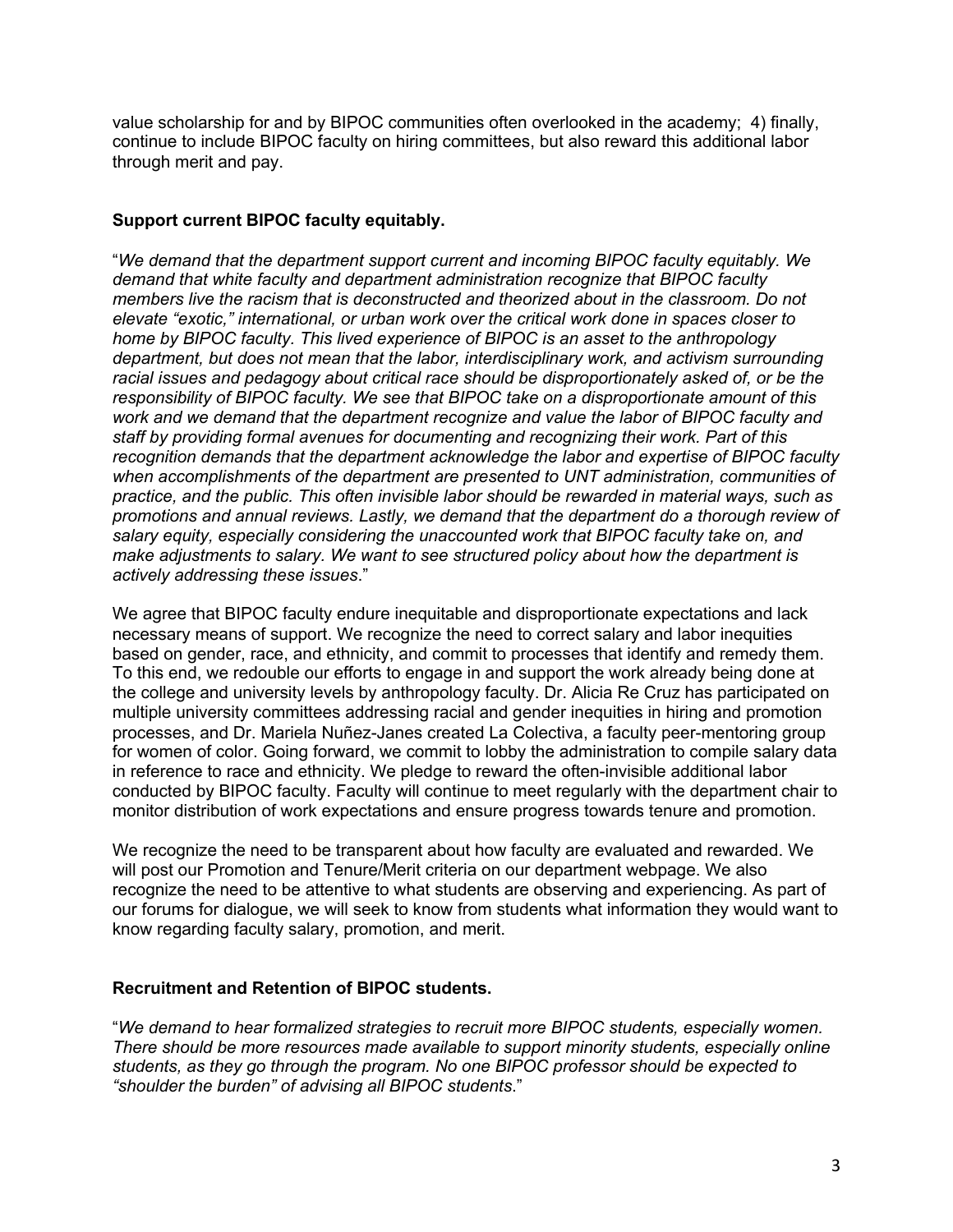value scholarship for and by BIPOC communities often overlooked in the academy; 4) finally, continue to include BIPOC faculty on hiring committees, but also reward this additional labor through merit and pay.

## **Support current BIPOC faculty equitably.**

"*We demand that the department support current and incoming BIPOC faculty equitably. We demand that white faculty and department administration recognize that BIPOC faculty members live the racism that is deconstructed and theorized about in the classroom. Do not elevate "exotic," international, or urban work over the critical work done in spaces closer to home by BIPOC faculty. This lived experience of BIPOC is an asset to the anthropology department, but does not mean that the labor, interdisciplinary work, and activism surrounding racial issues and pedagogy about critical race should be disproportionately asked of, or be the responsibility of BIPOC faculty. We see that BIPOC take on a disproportionate amount of this work and we demand that the department recognize and value the labor of BIPOC faculty and staff by providing formal avenues for documenting and recognizing their work. Part of this recognition demands that the department acknowledge the labor and expertise of BIPOC faculty when accomplishments of the department are presented to UNT administration, communities of practice, and the public. This often invisible labor should be rewarded in material ways, such as promotions and annual reviews. Lastly, we demand that the department do a thorough review of salary equity, especially considering the unaccounted work that BIPOC faculty take on, and make adjustments to salary. We want to see structured policy about how the department is actively addressing these issues*."

We agree that BIPOC faculty endure inequitable and disproportionate expectations and lack necessary means of support. We recognize the need to correct salary and labor inequities based on gender, race, and ethnicity, and commit to processes that identify and remedy them. To this end, we redouble our efforts to engage in and support the work already being done at the college and university levels by anthropology faculty. Dr. Alicia Re Cruz has participated on multiple university committees addressing racial and gender inequities in hiring and promotion processes, and Dr. Mariela Nuñez-Janes created La Colectiva, a faculty peer-mentoring group for women of color. Going forward, we commit to lobby the administration to compile salary data in reference to race and ethnicity. We pledge to reward the often-invisible additional labor conducted by BIPOC faculty. Faculty will continue to meet regularly with the department chair to monitor distribution of work expectations and ensure progress towards tenure and promotion.

We recognize the need to be transparent about how faculty are evaluated and rewarded. We will post our Promotion and Tenure/Merit criteria on our department webpage. We also recognize the need to be attentive to what students are observing and experiencing. As part of our forums for dialogue, we will seek to know from students what information they would want to know regarding faculty salary, promotion, and merit.

## **Recruitment and Retention of BIPOC students.**

"*We demand to hear formalized strategies to recruit more BIPOC students, especially women. There should be more resources made available to support minority students, especially online students, as they go through the program. No one BIPOC professor should be expected to "shoulder the burden" of advising all BIPOC students*."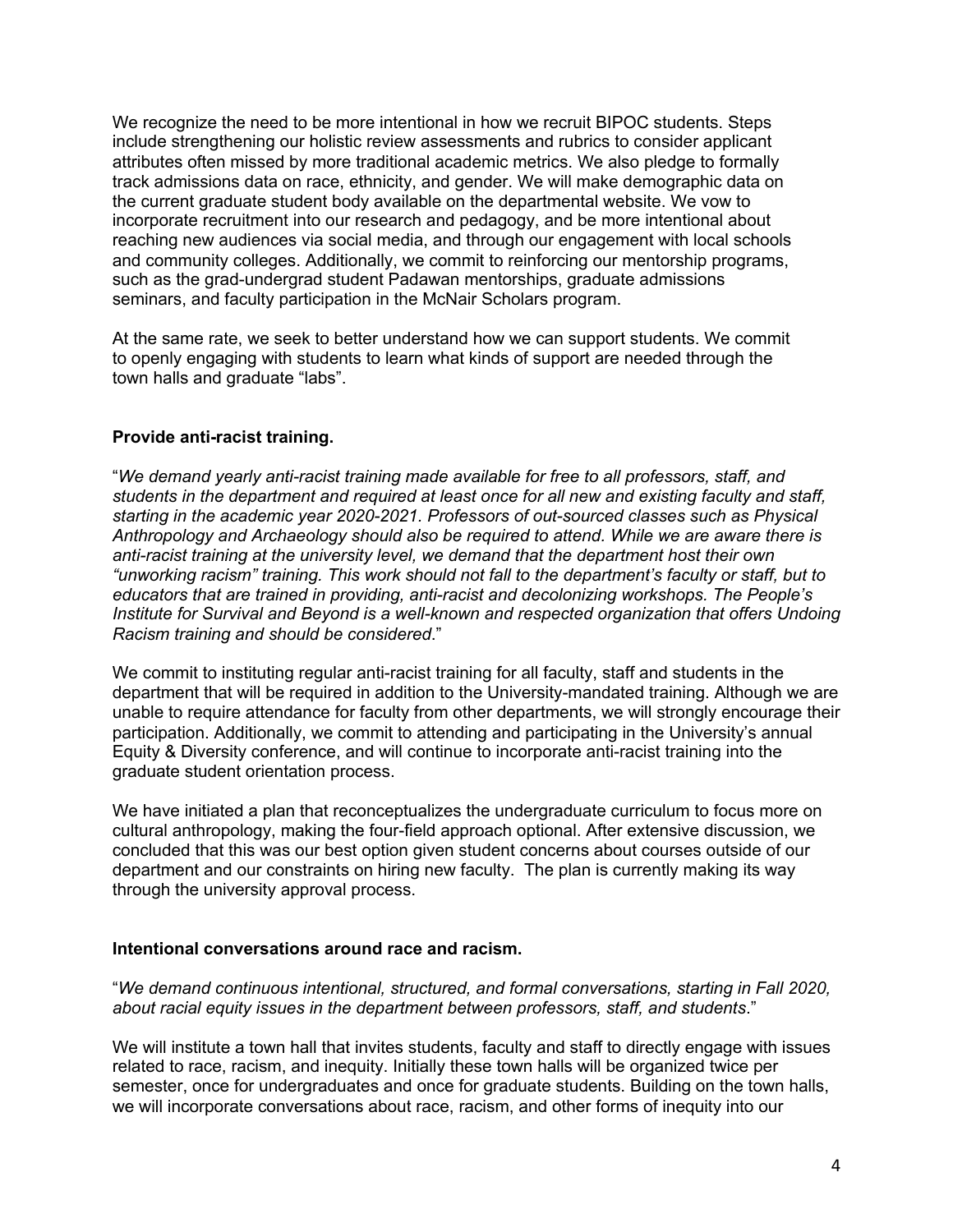We recognize the need to be more intentional in how we recruit BIPOC students. Steps include strengthening our holistic review assessments and rubrics to consider applicant attributes often missed by more traditional academic metrics. We also pledge to formally track admissions data on race, ethnicity, and gender. We will make demographic data on the current graduate student body available on the departmental website. We vow to incorporate recruitment into our research and pedagogy, and be more intentional about reaching new audiences via social media, and through our engagement with local schools and community colleges. Additionally, we commit to reinforcing our mentorship programs, such as the grad-undergrad student Padawan mentorships, graduate admissions seminars, and faculty participation in the McNair Scholars program.

At the same rate, we seek to better understand how we can support students. We commit to openly engaging with students to learn what kinds of support are needed through the town halls and graduate "labs".

## **Provide anti-racist training.**

"*We demand yearly anti-racist training made available for free to all professors, staff, and students in the department and required at least once for all new and existing faculty and staff, starting in the academic year 2020-2021. Professors of out-sourced classes such as Physical Anthropology and Archaeology should also be required to attend. While we are aware there is anti-racist training at the university level, we demand that the department host their own "unworking racism" training. This work should not fall to the department's faculty or staff, but to educators that are trained in providing, anti-racist and decolonizing workshops. The People's Institute for Survival and Beyond is a well-known and respected organization that offers Undoing Racism training and should be considered*."

We commit to instituting regular anti-racist training for all faculty, staff and students in the department that will be required in addition to the University-mandated training. Although we are unable to require attendance for faculty from other departments, we will strongly encourage their participation. Additionally, we commit to attending and participating in the University's annual Equity & Diversity conference, and will continue to incorporate anti-racist training into the graduate student orientation process.

We have initiated a plan that reconceptualizes the undergraduate curriculum to focus more on cultural anthropology, making the four-field approach optional. After extensive discussion, we concluded that this was our best option given student concerns about courses outside of our department and our constraints on hiring new faculty. The plan is currently making its way through the university approval process.

## **Intentional conversations around race and racism.**

"*We demand continuous intentional, structured, and formal conversations, starting in Fall 2020, about racial equity issues in the department between professors, staff, and students*."

We will institute a town hall that invites students, faculty and staff to directly engage with issues related to race, racism, and inequity. Initially these town halls will be organized twice per semester, once for undergraduates and once for graduate students. Building on the town halls, we will incorporate conversations about race, racism, and other forms of inequity into our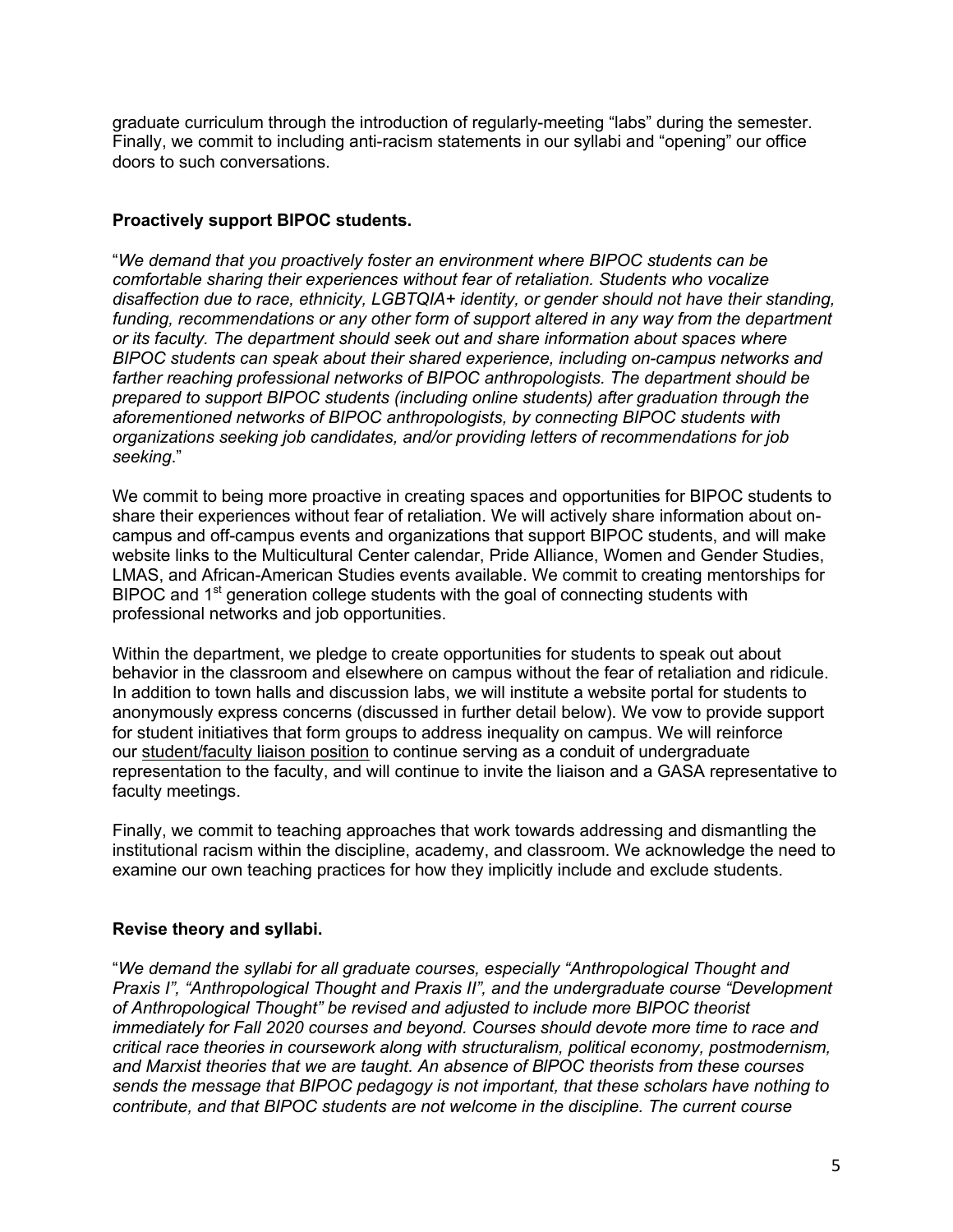graduate curriculum through the introduction of regularly-meeting "labs" during the semester. Finally, we commit to including anti-racism statements in our syllabi and "opening" our office doors to such conversations.

## **Proactively support BIPOC students.**

"*We demand that you proactively foster an environment where BIPOC students can be comfortable sharing their experiences without fear of retaliation. Students who vocalize disaffection due to race, ethnicity, LGBTQIA+ identity, or gender should not have their standing, funding, recommendations or any other form of support altered in any way from the department or its faculty. The department should seek out and share information about spaces where BIPOC students can speak about their shared experience, including on-campus networks and farther reaching professional networks of BIPOC anthropologists. The department should be prepared to support BIPOC students (including online students) after graduation through the aforementioned networks of BIPOC anthropologists, by connecting BIPOC students with organizations seeking job candidates, and/or providing letters of recommendations for job seeking*."

We commit to being more proactive in creating spaces and opportunities for BIPOC students to share their experiences without fear of retaliation. We will actively share information about oncampus and off-campus events and organizations that support BIPOC students, and will make website links to the Multicultural Center calendar, Pride Alliance, Women and Gender Studies, LMAS, and African-American Studies events available. We commit to creating mentorships for BIPOC and 1<sup>st</sup> generation college students with the goal of connecting students with professional networks and job opportunities.

Within the department, we pledge to create opportunities for students to speak out about behavior in the classroom and elsewhere on campus without the fear of retaliation and ridicule. In addition to town halls and discussion labs, we will institute a website portal for students to anonymously express concerns (discussed in further detail below). We vow to provide support for student initiatives that form groups to address inequality on campus. We will reinforce our student/faculty liaison position to continue serving as a conduit of undergraduate representation to the faculty, and will continue to invite the liaison and a GASA representative to faculty meetings.

Finally, we commit to teaching approaches that work towards addressing and dismantling the institutional racism within the discipline, academy, and classroom. We acknowledge the need to examine our own teaching practices for how they implicitly include and exclude students.

# **Revise theory and syllabi.**

"*We demand the syllabi for all graduate courses, especially "Anthropological Thought and Praxis I", "Anthropological Thought and Praxis II", and the undergraduate course "Development of Anthropological Thought" be revised and adjusted to include more BIPOC theorist immediately for Fall 2020 courses and beyond. Courses should devote more time to race and critical race theories in coursework along with structuralism, political economy, postmodernism, and Marxist theories that we are taught. An absence of BlPOC theorists from these courses sends the message that BIPOC pedagogy is not important, that these scholars have nothing to contribute, and that BIPOC students are not welcome in the discipline. The current course*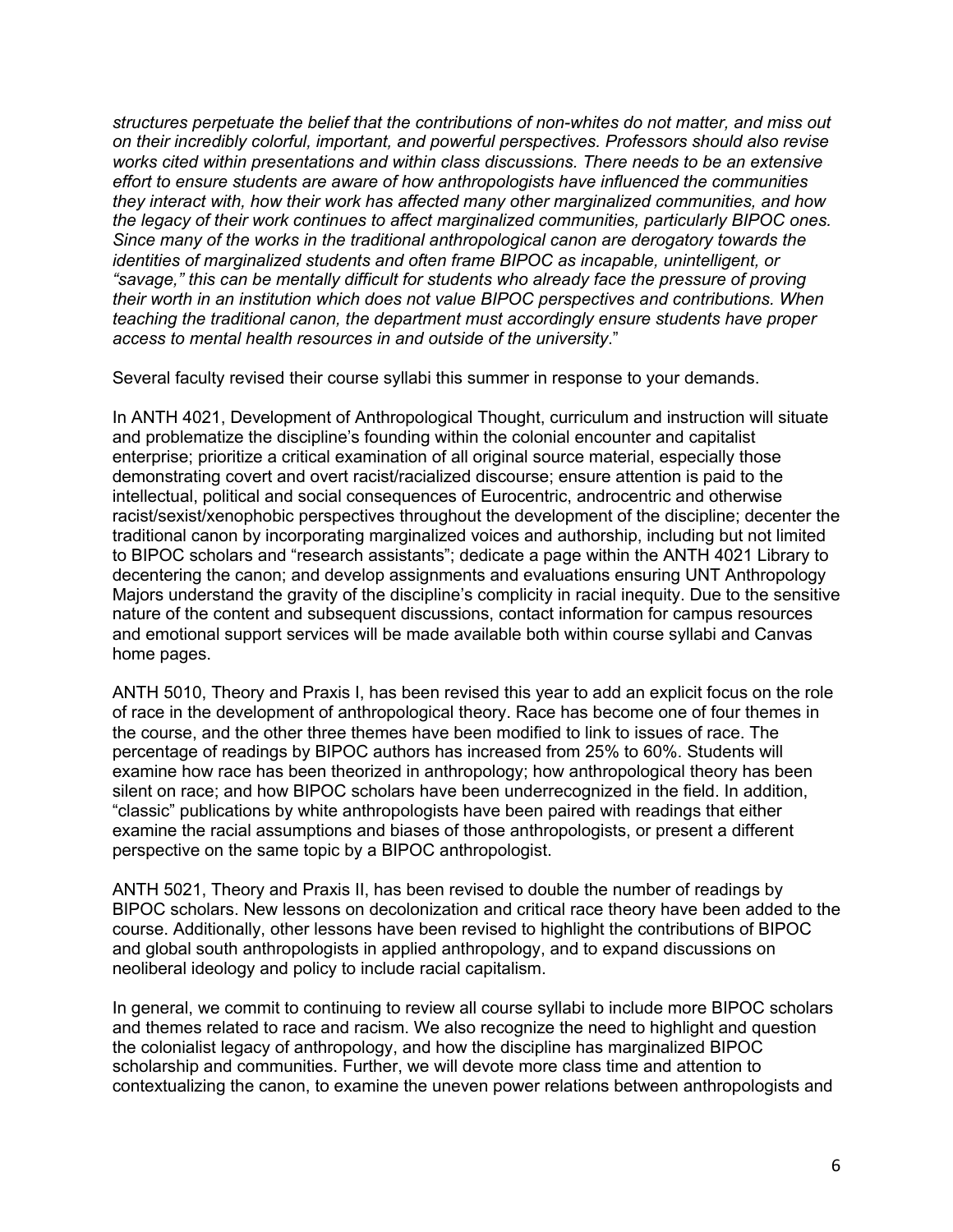*structures perpetuate the belief that the contributions of non-whites do not matter, and miss out on their incredibly colorful, important, and powerful perspectives. Professors should also revise works cited within presentations and within class discussions. There needs to be an extensive effort to ensure students are aware of how anthropologists have influenced the communities they interact with, how their work has affected many other marginalized communities, and how the legacy of their work continues to affect marginalized communities, particularly BIPOC ones. Since many of the works in the traditional anthropological canon are derogatory towards the identities of marginalized students and often frame BIPOC as incapable, unintelligent, or "savage," this can be mentally difficult for students who already face the pressure of proving their worth in an institution which does not value BIPOC perspectives and contributions. When teaching the traditional canon, the department must accordingly ensure students have proper access to mental health resources in and outside of the university*."

Several faculty revised their course syllabi this summer in response to your demands.

In ANTH 4021, Development of Anthropological Thought, curriculum and instruction will situate and problematize the discipline's founding within the colonial encounter and capitalist enterprise; prioritize a critical examination of all original source material, especially those demonstrating covert and overt racist/racialized discourse; ensure attention is paid to the intellectual, political and social consequences of Eurocentric, androcentric and otherwise racist/sexist/xenophobic perspectives throughout the development of the discipline; decenter the traditional canon by incorporating marginalized voices and authorship, including but not limited to BIPOC scholars and "research assistants"; dedicate a page within the ANTH 4021 Library to decentering the canon; and develop assignments and evaluations ensuring UNT Anthropology Majors understand the gravity of the discipline's complicity in racial inequity. Due to the sensitive nature of the content and subsequent discussions, contact information for campus resources and emotional support services will be made available both within course syllabi and Canvas home pages.

ANTH 5010, Theory and Praxis I, has been revised this year to add an explicit focus on the role of race in the development of anthropological theory. Race has become one of four themes in the course, and the other three themes have been modified to link to issues of race. The percentage of readings by BIPOC authors has increased from 25% to 60%. Students will examine how race has been theorized in anthropology; how anthropological theory has been silent on race; and how BIPOC scholars have been underrecognized in the field. In addition, "classic" publications by white anthropologists have been paired with readings that either examine the racial assumptions and biases of those anthropologists, or present a different perspective on the same topic by a BIPOC anthropologist.

ANTH 5021, Theory and Praxis II, has been revised to double the number of readings by BIPOC scholars. New lessons on decolonization and critical race theory have been added to the course. Additionally, other lessons have been revised to highlight the contributions of BIPOC and global south anthropologists in applied anthropology, and to expand discussions on neoliberal ideology and policy to include racial capitalism.

In general, we commit to continuing to review all course syllabi to include more BIPOC scholars and themes related to race and racism. We also recognize the need to highlight and question the colonialist legacy of anthropology, and how the discipline has marginalized BIPOC scholarship and communities. Further, we will devote more class time and attention to contextualizing the canon, to examine the uneven power relations between anthropologists and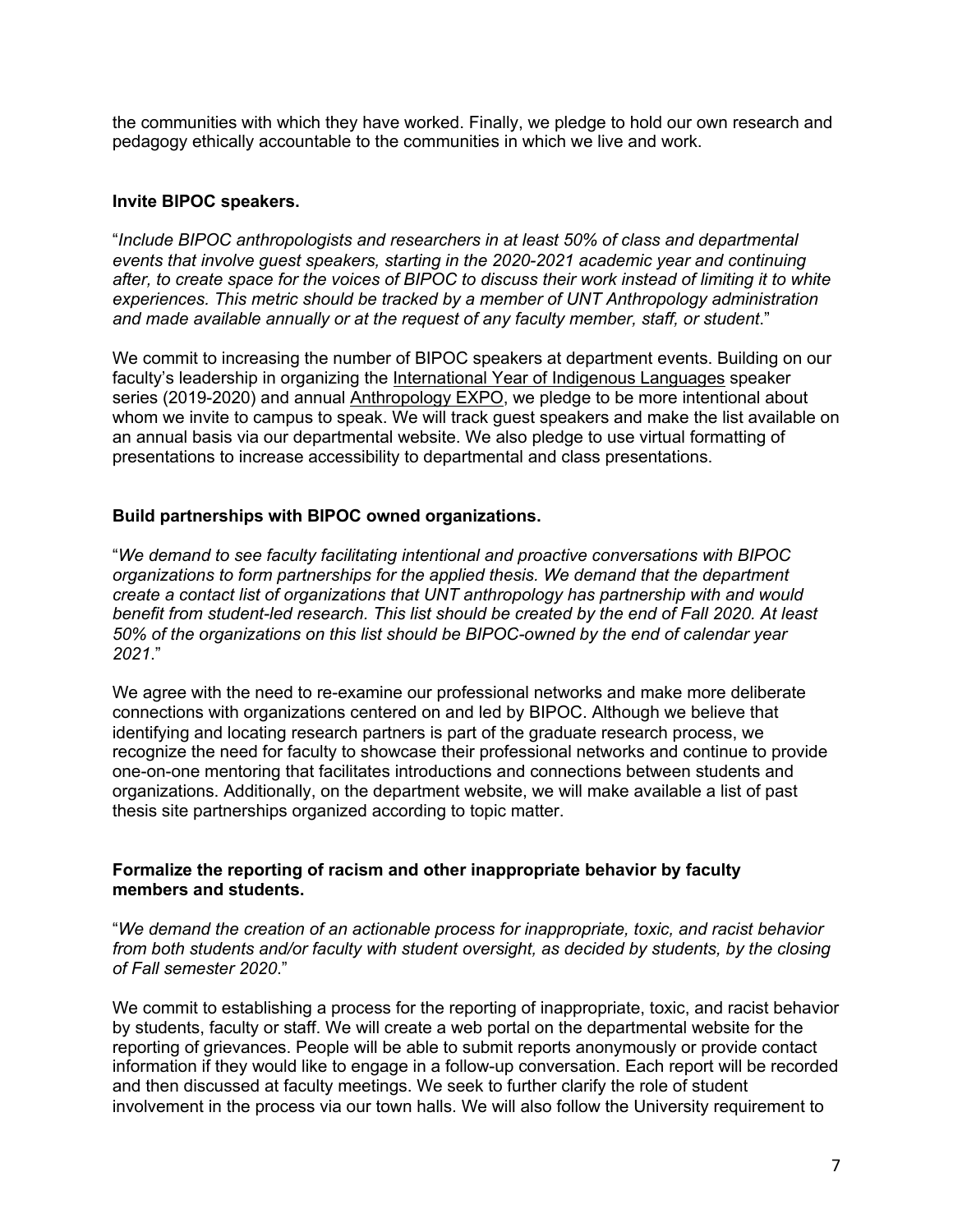the communities with which they have worked. Finally, we pledge to hold our own research and pedagogy ethically accountable to the communities in which we live and work.

#### **Invite BIPOC speakers.**

"*Include BIPOC anthropologists and researchers in at least 50% of class and departmental events that involve guest speakers, starting in the 2020-2021 academic year and continuing after, to create space for the voices of BIPOC to discuss their work instead of limiting it to white experiences. This metric should be tracked by a member of UNT Anthropology administration and made available annually or at the request of any faculty member, staff, or student*."

We commit to increasing the number of BIPOC speakers at department events. Building on our faculty's leadership in organizing the International Year of Indigenous Languages speaker series (2019-2020) and annual Anthropology EXPO, we pledge to be more intentional about whom we invite to campus to speak. We will track guest speakers and make the list available on an annual basis via our departmental website. We also pledge to use virtual formatting of presentations to increase accessibility to departmental and class presentations.

#### **Build partnerships with BIPOC owned organizations.**

"*We demand to see faculty facilitating intentional and proactive conversations with BIPOC organizations to form partnerships for the applied thesis. We demand that the department create a contact list of organizations that UNT anthropology has partnership with and would benefit from student-led research. This list should be created by the end of Fall 2020. At least 50% of the organizations on this list should be BIPOC-owned by the end of calendar year 2021*."

We agree with the need to re-examine our professional networks and make more deliberate connections with organizations centered on and led by BIPOC. Although we believe that identifying and locating research partners is part of the graduate research process, we recognize the need for faculty to showcase their professional networks and continue to provide one-on-one mentoring that facilitates introductions and connections between students and organizations. Additionally, on the department website, we will make available a list of past thesis site partnerships organized according to topic matter.

#### **Formalize the reporting of racism and other inappropriate behavior by faculty members and students.**

"*We demand the creation of an actionable process for inappropriate, toxic, and racist behavior from both students and/or faculty with student oversight, as decided by students, by the closing of Fall semester 2020*."

We commit to establishing a process for the reporting of inappropriate, toxic, and racist behavior by students, faculty or staff. We will create a web portal on the departmental website for the reporting of grievances. People will be able to submit reports anonymously or provide contact information if they would like to engage in a follow-up conversation. Each report will be recorded and then discussed at faculty meetings. We seek to further clarify the role of student involvement in the process via our town halls. We will also follow the University requirement to